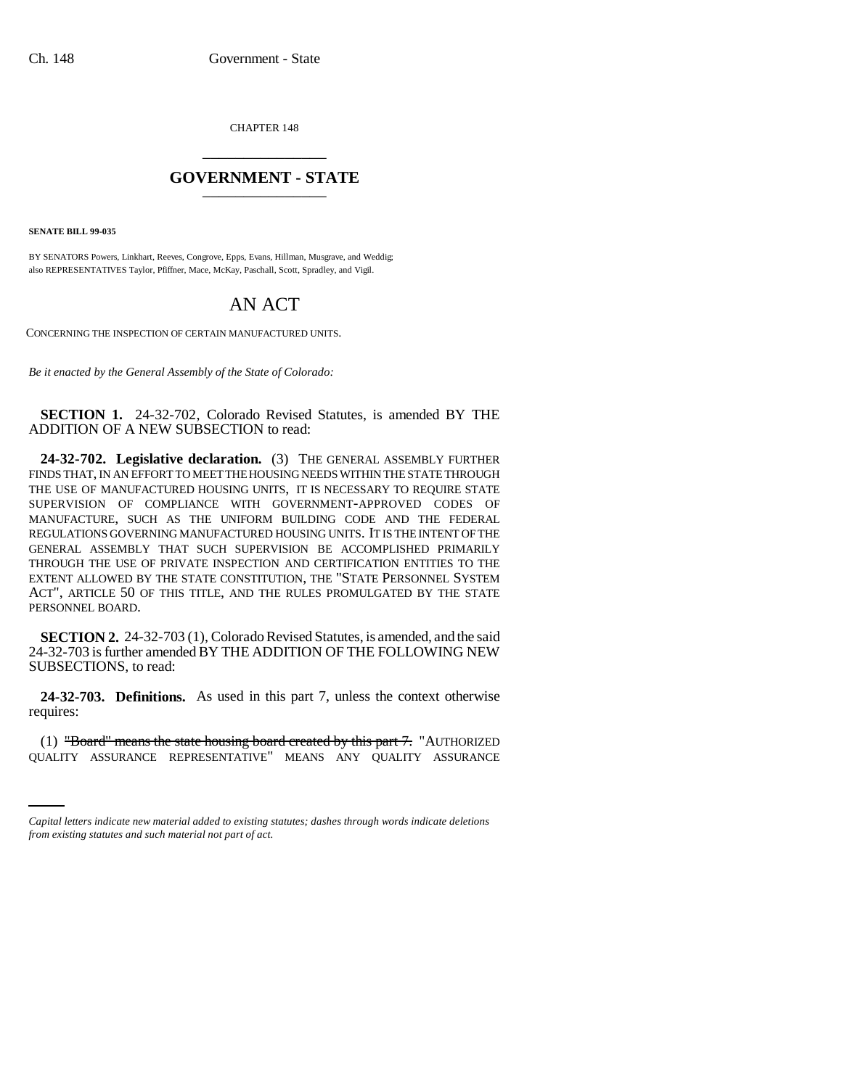CHAPTER 148 \_\_\_\_\_\_\_\_\_\_\_\_\_\_\_

## **GOVERNMENT - STATE** \_\_\_\_\_\_\_\_\_\_\_\_\_\_\_

**SENATE BILL 99-035** 

BY SENATORS Powers, Linkhart, Reeves, Congrove, Epps, Evans, Hillman, Musgrave, and Weddig; also REPRESENTATIVES Taylor, Pfiffner, Mace, McKay, Paschall, Scott, Spradley, and Vigil.

# AN ACT

CONCERNING THE INSPECTION OF CERTAIN MANUFACTURED UNITS.

*Be it enacted by the General Assembly of the State of Colorado:*

**SECTION 1.** 24-32-702, Colorado Revised Statutes, is amended BY THE ADDITION OF A NEW SUBSECTION to read:

**24-32-702. Legislative declaration.** (3) THE GENERAL ASSEMBLY FURTHER FINDS THAT, IN AN EFFORT TO MEET THE HOUSING NEEDS WITHIN THE STATE THROUGH THE USE OF MANUFACTURED HOUSING UNITS, IT IS NECESSARY TO REQUIRE STATE SUPERVISION OF COMPLIANCE WITH GOVERNMENT-APPROVED CODES OF MANUFACTURE, SUCH AS THE UNIFORM BUILDING CODE AND THE FEDERAL REGULATIONS GOVERNING MANUFACTURED HOUSING UNITS. IT IS THE INTENT OF THE GENERAL ASSEMBLY THAT SUCH SUPERVISION BE ACCOMPLISHED PRIMARILY THROUGH THE USE OF PRIVATE INSPECTION AND CERTIFICATION ENTITIES TO THE EXTENT ALLOWED BY THE STATE CONSTITUTION, THE "STATE PERSONNEL SYSTEM ACT", ARTICLE 50 OF THIS TITLE, AND THE RULES PROMULGATED BY THE STATE PERSONNEL BOARD.

**SECTION 2.** 24-32-703 (1), Colorado Revised Statutes, is amended, and the said 24-32-703 is further amended BY THE ADDITION OF THE FOLLOWING NEW SUBSECTIONS, to read:

**24-32-703. Definitions.** As used in this part 7, unless the context otherwise requires:

(1) "Board" means the state housing board created by this part 7. "AUTHORIZED QUALITY ASSURANCE REPRESENTATIVE" MEANS ANY QUALITY ASSURANCE

*Capital letters indicate new material added to existing statutes; dashes through words indicate deletions from existing statutes and such material not part of act.*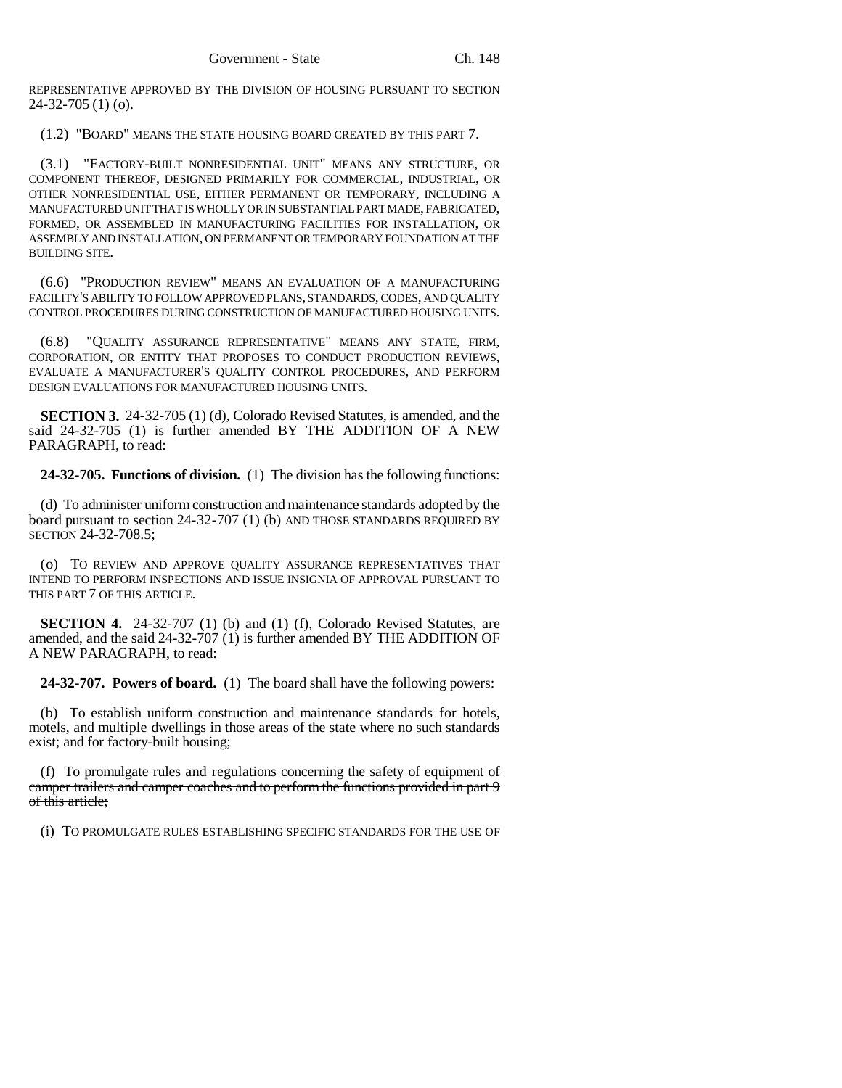REPRESENTATIVE APPROVED BY THE DIVISION OF HOUSING PURSUANT TO SECTION 24-32-705 (1) (o).

(1.2) "BOARD" MEANS THE STATE HOUSING BOARD CREATED BY THIS PART 7.

(3.1) "FACTORY-BUILT NONRESIDENTIAL UNIT" MEANS ANY STRUCTURE, OR COMPONENT THEREOF, DESIGNED PRIMARILY FOR COMMERCIAL, INDUSTRIAL, OR OTHER NONRESIDENTIAL USE, EITHER PERMANENT OR TEMPORARY, INCLUDING A MANUFACTURED UNIT THAT IS WHOLLY OR IN SUBSTANTIAL PART MADE, FABRICATED, FORMED, OR ASSEMBLED IN MANUFACTURING FACILITIES FOR INSTALLATION, OR ASSEMBLY AND INSTALLATION, ON PERMANENT OR TEMPORARY FOUNDATION AT THE BUILDING SITE.

(6.6) "PRODUCTION REVIEW" MEANS AN EVALUATION OF A MANUFACTURING FACILITY'S ABILITY TO FOLLOW APPROVED PLANS, STANDARDS, CODES, AND QUALITY CONTROL PROCEDURES DURING CONSTRUCTION OF MANUFACTURED HOUSING UNITS.

(6.8) "QUALITY ASSURANCE REPRESENTATIVE" MEANS ANY STATE, FIRM, CORPORATION, OR ENTITY THAT PROPOSES TO CONDUCT PRODUCTION REVIEWS, EVALUATE A MANUFACTURER'S QUALITY CONTROL PROCEDURES, AND PERFORM DESIGN EVALUATIONS FOR MANUFACTURED HOUSING UNITS.

**SECTION 3.** 24-32-705 (1) (d), Colorado Revised Statutes, is amended, and the said 24-32-705 (1) is further amended BY THE ADDITION OF A NEW PARAGRAPH, to read:

**24-32-705. Functions of division.** (1) The division has the following functions:

(d) To administer uniform construction and maintenance standards adopted by the board pursuant to section 24-32-707 (1) (b) AND THOSE STANDARDS REQUIRED BY SECTION 24-32-708.5;

(o) TO REVIEW AND APPROVE QUALITY ASSURANCE REPRESENTATIVES THAT INTEND TO PERFORM INSPECTIONS AND ISSUE INSIGNIA OF APPROVAL PURSUANT TO THIS PART 7 OF THIS ARTICLE.

**SECTION 4.** 24-32-707 (1) (b) and (1) (f), Colorado Revised Statutes, are amended, and the said 24-32-707 (1) is further amended BY THE ADDITION OF A NEW PARAGRAPH, to read:

**24-32-707. Powers of board.** (1) The board shall have the following powers:

(b) To establish uniform construction and maintenance standards for hotels, motels, and multiple dwellings in those areas of the state where no such standards exist; and for factory-built housing;

(f) To promulgate rules and regulations concerning the safety of equipment of camper trailers and camper coaches and to perform the functions provided in part 9 of this article;

(i) TO PROMULGATE RULES ESTABLISHING SPECIFIC STANDARDS FOR THE USE OF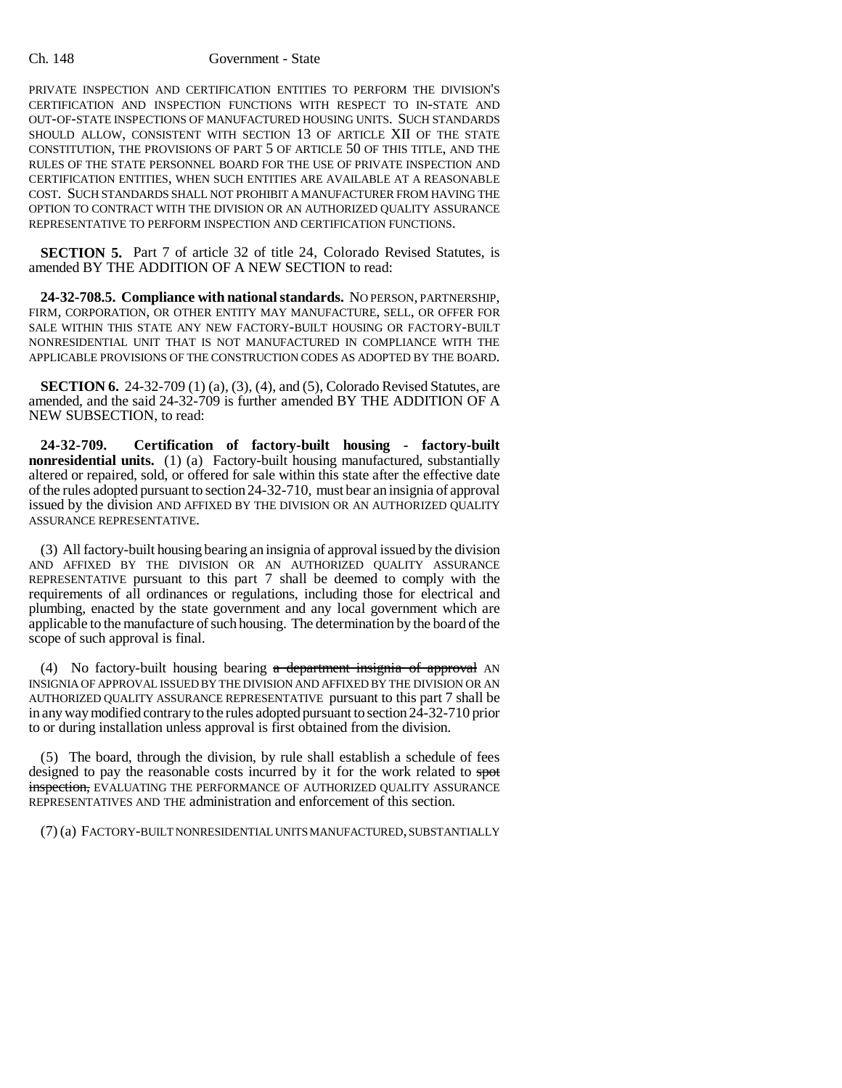#### Ch. 148 Government - State

PRIVATE INSPECTION AND CERTIFICATION ENTITIES TO PERFORM THE DIVISION'S CERTIFICATION AND INSPECTION FUNCTIONS WITH RESPECT TO IN-STATE AND OUT-OF-STATE INSPECTIONS OF MANUFACTURED HOUSING UNITS. SUCH STANDARDS SHOULD ALLOW, CONSISTENT WITH SECTION 13 OF ARTICLE XII OF THE STATE CONSTITUTION, THE PROVISIONS OF PART 5 OF ARTICLE 50 OF THIS TITLE, AND THE RULES OF THE STATE PERSONNEL BOARD FOR THE USE OF PRIVATE INSPECTION AND CERTIFICATION ENTITIES, WHEN SUCH ENTITIES ARE AVAILABLE AT A REASONABLE COST. SUCH STANDARDS SHALL NOT PROHIBIT A MANUFACTURER FROM HAVING THE OPTION TO CONTRACT WITH THE DIVISION OR AN AUTHORIZED QUALITY ASSURANCE REPRESENTATIVE TO PERFORM INSPECTION AND CERTIFICATION FUNCTIONS.

**SECTION 5.** Part 7 of article 32 of title 24, Colorado Revised Statutes, is amended BY THE ADDITION OF A NEW SECTION to read:

**24-32-708.5. Compliance with national standards.** NO PERSON, PARTNERSHIP, FIRM, CORPORATION, OR OTHER ENTITY MAY MANUFACTURE, SELL, OR OFFER FOR SALE WITHIN THIS STATE ANY NEW FACTORY-BUILT HOUSING OR FACTORY-BUILT NONRESIDENTIAL UNIT THAT IS NOT MANUFACTURED IN COMPLIANCE WITH THE APPLICABLE PROVISIONS OF THE CONSTRUCTION CODES AS ADOPTED BY THE BOARD.

**SECTION 6.** 24-32-709 (1) (a), (3), (4), and (5), Colorado Revised Statutes, are amended, and the said 24-32-709 is further amended BY THE ADDITION OF A NEW SUBSECTION, to read:

**24-32-709. Certification of factory-built housing - factory-built nonresidential units.** (1) (a) Factory-built housing manufactured, substantially altered or repaired, sold, or offered for sale within this state after the effective date of the rules adopted pursuant to section 24-32-710, must bear an insignia of approval issued by the division AND AFFIXED BY THE DIVISION OR AN AUTHORIZED QUALITY ASSURANCE REPRESENTATIVE.

(3) All factory-built housing bearing an insignia of approval issued by the division AND AFFIXED BY THE DIVISION OR AN AUTHORIZED QUALITY ASSURANCE REPRESENTATIVE pursuant to this part 7 shall be deemed to comply with the requirements of all ordinances or regulations, including those for electrical and plumbing, enacted by the state government and any local government which are applicable to the manufacture of such housing. The determination by the board of the scope of such approval is final.

(4) No factory-built housing bearing  $a$  department insignia of approval AN INSIGNIA OF APPROVAL ISSUED BY THE DIVISION AND AFFIXED BY THE DIVISION OR AN AUTHORIZED QUALITY ASSURANCE REPRESENTATIVE pursuant to this part 7 shall be in any way modified contrary to the rules adopted pursuant to section 24-32-710 prior to or during installation unless approval is first obtained from the division.

(5) The board, through the division, by rule shall establish a schedule of fees designed to pay the reasonable costs incurred by it for the work related to spot inspection, EVALUATING THE PERFORMANCE OF AUTHORIZED QUALITY ASSURANCE REPRESENTATIVES AND THE administration and enforcement of this section.

(7) (a) FACTORY-BUILT NONRESIDENTIAL UNITS MANUFACTURED, SUBSTANTIALLY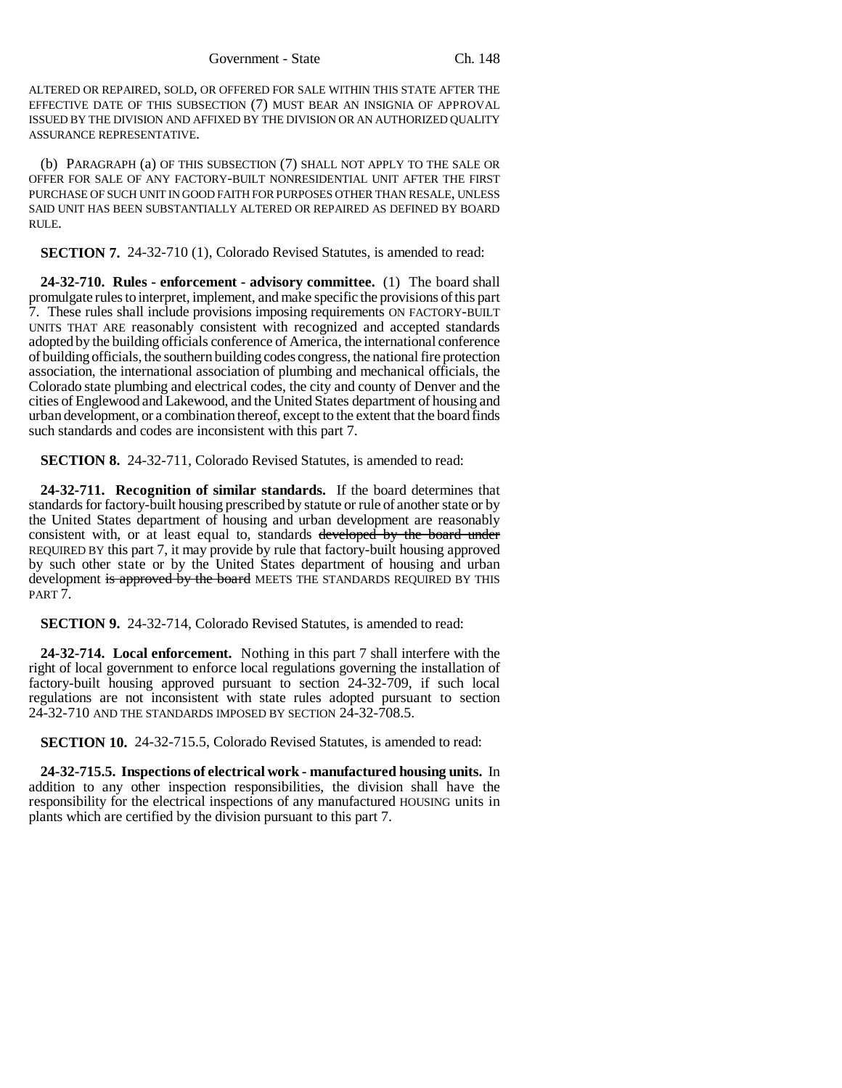ALTERED OR REPAIRED, SOLD, OR OFFERED FOR SALE WITHIN THIS STATE AFTER THE EFFECTIVE DATE OF THIS SUBSECTION (7) MUST BEAR AN INSIGNIA OF APPROVAL ISSUED BY THE DIVISION AND AFFIXED BY THE DIVISION OR AN AUTHORIZED QUALITY ASSURANCE REPRESENTATIVE.

(b) PARAGRAPH (a) OF THIS SUBSECTION (7) SHALL NOT APPLY TO THE SALE OR OFFER FOR SALE OF ANY FACTORY-BUILT NONRESIDENTIAL UNIT AFTER THE FIRST PURCHASE OF SUCH UNIT IN GOOD FAITH FOR PURPOSES OTHER THAN RESALE, UNLESS SAID UNIT HAS BEEN SUBSTANTIALLY ALTERED OR REPAIRED AS DEFINED BY BOARD RULE.

**SECTION 7.** 24-32-710 (1), Colorado Revised Statutes, is amended to read:

**24-32-710. Rules - enforcement - advisory committee.** (1) The board shall promulgate rules to interpret, implement, and make specific the provisions of this part 7. These rules shall include provisions imposing requirements ON FACTORY-BUILT UNITS THAT ARE reasonably consistent with recognized and accepted standards adopted by the building officials conference of America, the international conference of building officials, the southern building codes congress, the national fire protection association, the international association of plumbing and mechanical officials, the Colorado state plumbing and electrical codes, the city and county of Denver and the cities of Englewood and Lakewood, and the United States department of housing and urban development, or a combination thereof, except to the extent that the board finds such standards and codes are inconsistent with this part 7.

**SECTION 8.** 24-32-711, Colorado Revised Statutes, is amended to read:

**24-32-711. Recognition of similar standards.** If the board determines that standards for factory-built housing prescribed by statute or rule of another state or by the United States department of housing and urban development are reasonably consistent with, or at least equal to, standards developed by the board under REQUIRED BY this part 7, it may provide by rule that factory-built housing approved by such other state or by the United States department of housing and urban development is approved by the board MEETS THE STANDARDS REQUIRED BY THIS PART 7.

**SECTION 9.** 24-32-714, Colorado Revised Statutes, is amended to read:

**24-32-714. Local enforcement.** Nothing in this part 7 shall interfere with the right of local government to enforce local regulations governing the installation of factory-built housing approved pursuant to section 24-32-709, if such local regulations are not inconsistent with state rules adopted pursuant to section 24-32-710 AND THE STANDARDS IMPOSED BY SECTION 24-32-708.5.

**SECTION 10.** 24-32-715.5, Colorado Revised Statutes, is amended to read:

**24-32-715.5. Inspections of electrical work - manufactured housing units.** In addition to any other inspection responsibilities, the division shall have the responsibility for the electrical inspections of any manufactured HOUSING units in plants which are certified by the division pursuant to this part 7.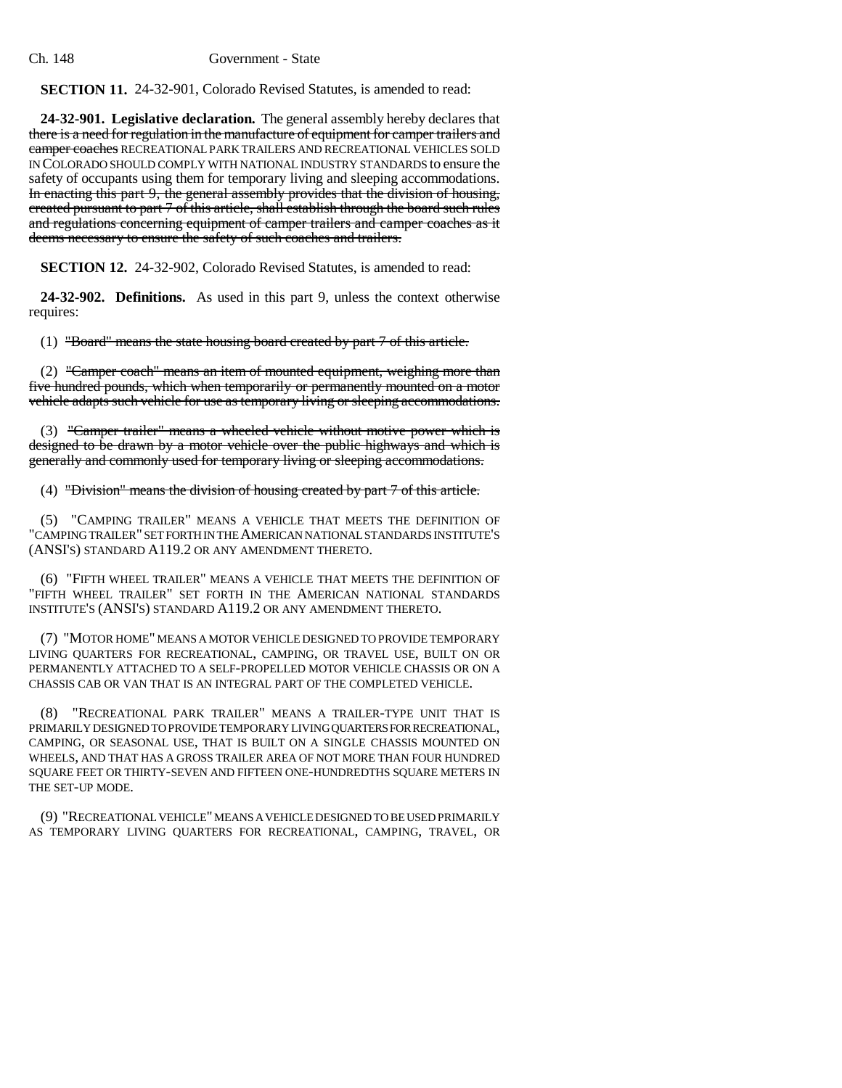#### Ch. 148 Government - State

**SECTION 11.** 24-32-901, Colorado Revised Statutes, is amended to read:

**24-32-901. Legislative declaration.** The general assembly hereby declares that there is a need for regulation in the manufacture of equipment for camper trailers and camper coaches RECREATIONAL PARK TRAILERS AND RECREATIONAL VEHICLES SOLD IN COLORADO SHOULD COMPLY WITH NATIONAL INDUSTRY STANDARDS to ensure the safety of occupants using them for temporary living and sleeping accommodations. In enacting this part 9, the general assembly provides that the division of housing, created pursuant to part 7 of this article, shall establish through the board such rules and regulations concerning equipment of camper trailers and camper coaches as it deems necessary to ensure the safety of such coaches and trailers.

**SECTION 12.** 24-32-902, Colorado Revised Statutes, is amended to read:

**24-32-902. Definitions.** As used in this part 9, unless the context otherwise requires:

(1) "Board" means the state housing board created by part 7 of this article.

(2) "Camper coach" means an item of mounted equipment, weighing more than five hundred pounds, which when temporarily or permanently mounted on a motor vehicle adapts such vehicle for use as temporary living or sleeping accommodations.

(3) "Camper trailer" means a wheeled vehicle without motive power which is designed to be drawn by a motor vehicle over the public highways and which is generally and commonly used for temporary living or sleeping accommodations.

(4) "Division" means the division of housing created by part 7 of this article.

(5) "CAMPING TRAILER" MEANS A VEHICLE THAT MEETS THE DEFINITION OF "CAMPING TRAILER" SET FORTH IN THE AMERICAN NATIONAL STANDARDS INSTITUTE'S (ANSI'S) STANDARD A119.2 OR ANY AMENDMENT THERETO.

(6) "FIFTH WHEEL TRAILER" MEANS A VEHICLE THAT MEETS THE DEFINITION OF "FIFTH WHEEL TRAILER" SET FORTH IN THE AMERICAN NATIONAL STANDARDS INSTITUTE'S (ANSI'S) STANDARD A119.2 OR ANY AMENDMENT THERETO.

(7) "MOTOR HOME" MEANS A MOTOR VEHICLE DESIGNED TO PROVIDE TEMPORARY LIVING QUARTERS FOR RECREATIONAL, CAMPING, OR TRAVEL USE, BUILT ON OR PERMANENTLY ATTACHED TO A SELF-PROPELLED MOTOR VEHICLE CHASSIS OR ON A CHASSIS CAB OR VAN THAT IS AN INTEGRAL PART OF THE COMPLETED VEHICLE.

(8) "RECREATIONAL PARK TRAILER" MEANS A TRAILER-TYPE UNIT THAT IS PRIMARILY DESIGNED TO PROVIDE TEMPORARY LIVING QUARTERS FOR RECREATIONAL, CAMPING, OR SEASONAL USE, THAT IS BUILT ON A SINGLE CHASSIS MOUNTED ON WHEELS, AND THAT HAS A GROSS TRAILER AREA OF NOT MORE THAN FOUR HUNDRED SQUARE FEET OR THIRTY-SEVEN AND FIFTEEN ONE-HUNDREDTHS SQUARE METERS IN THE SET-UP MODE.

(9) "RECREATIONAL VEHICLE" MEANS A VEHICLE DESIGNED TO BE USED PRIMARILY AS TEMPORARY LIVING QUARTERS FOR RECREATIONAL, CAMPING, TRAVEL, OR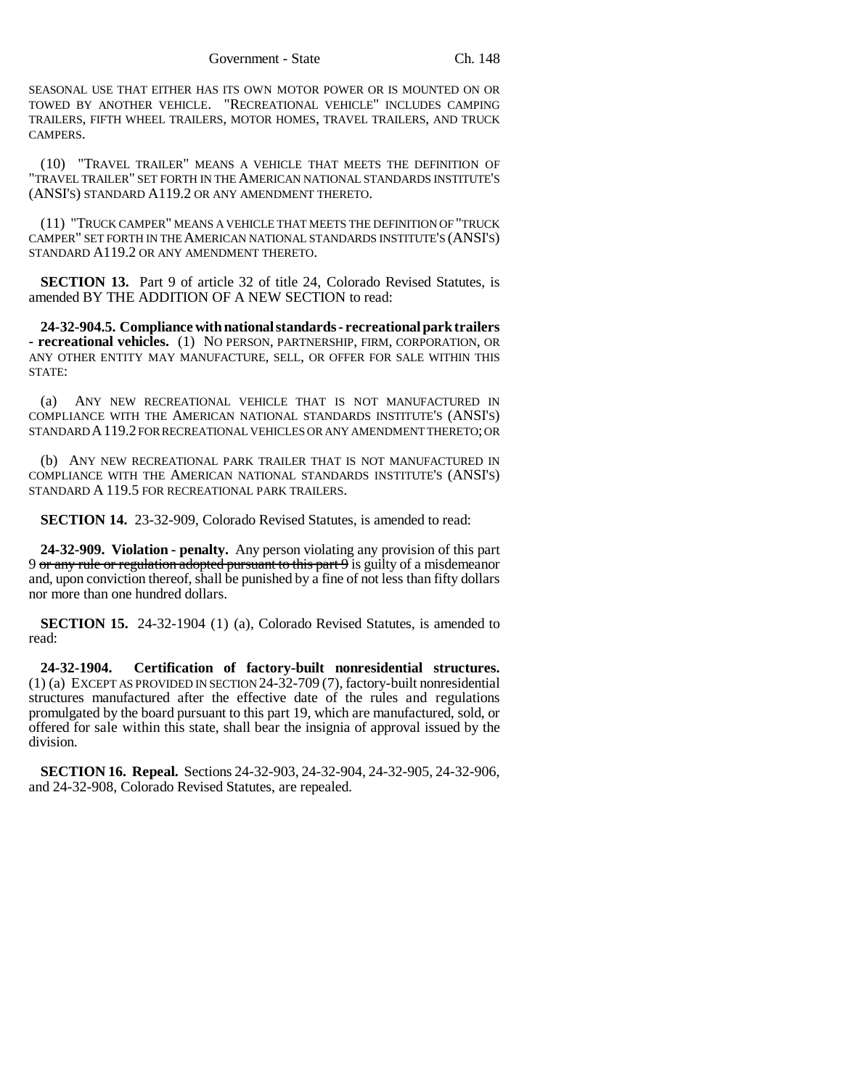SEASONAL USE THAT EITHER HAS ITS OWN MOTOR POWER OR IS MOUNTED ON OR TOWED BY ANOTHER VEHICLE. "RECREATIONAL VEHICLE" INCLUDES CAMPING TRAILERS, FIFTH WHEEL TRAILERS, MOTOR HOMES, TRAVEL TRAILERS, AND TRUCK CAMPERS.

(10) "TRAVEL TRAILER" MEANS A VEHICLE THAT MEETS THE DEFINITION OF "TRAVEL TRAILER" SET FORTH IN THE AMERICAN NATIONAL STANDARDS INSTITUTE'S (ANSI'S) STANDARD A119.2 OR ANY AMENDMENT THERETO.

(11) "TRUCK CAMPER" MEANS A VEHICLE THAT MEETS THE DEFINITION OF "TRUCK CAMPER" SET FORTH IN THE AMERICAN NATIONAL STANDARDS INSTITUTE'S (ANSI'S) STANDARD A119.2 OR ANY AMENDMENT THERETO.

**SECTION 13.** Part 9 of article 32 of title 24, Colorado Revised Statutes, is amended BY THE ADDITION OF A NEW SECTION to read:

**24-32-904.5. Compliance with national standards - recreational park trailers - recreational vehicles.** (1) NO PERSON, PARTNERSHIP, FIRM, CORPORATION, OR ANY OTHER ENTITY MAY MANUFACTURE, SELL, OR OFFER FOR SALE WITHIN THIS STATE:

(a) ANY NEW RECREATIONAL VEHICLE THAT IS NOT MANUFACTURED IN COMPLIANCE WITH THE AMERICAN NATIONAL STANDARDS INSTITUTE'S (ANSI'S) STANDARD A119.2 FOR RECREATIONAL VEHICLES OR ANY AMENDMENT THERETO; OR

(b) ANY NEW RECREATIONAL PARK TRAILER THAT IS NOT MANUFACTURED IN COMPLIANCE WITH THE AMERICAN NATIONAL STANDARDS INSTITUTE'S (ANSI'S) STANDARD A 119.5 FOR RECREATIONAL PARK TRAILERS.

**SECTION 14.** 23-32-909, Colorado Revised Statutes, is amended to read:

**24-32-909. Violation - penalty.** Any person violating any provision of this part 9 or any rule or regulation adopted pursuant to this part  $\theta$  is guilty of a misdemeanor and, upon conviction thereof, shall be punished by a fine of not less than fifty dollars nor more than one hundred dollars.

**SECTION 15.** 24-32-1904 (1) (a), Colorado Revised Statutes, is amended to read:

**24-32-1904. Certification of factory-built nonresidential structures.** (1) (a) EXCEPT AS PROVIDED IN SECTION 24-32-709 (7), factory-built nonresidential structures manufactured after the effective date of the rules and regulations promulgated by the board pursuant to this part 19, which are manufactured, sold, or offered for sale within this state, shall bear the insignia of approval issued by the division.

**SECTION 16. Repeal.** Sections 24-32-903, 24-32-904, 24-32-905, 24-32-906, and 24-32-908, Colorado Revised Statutes, are repealed.